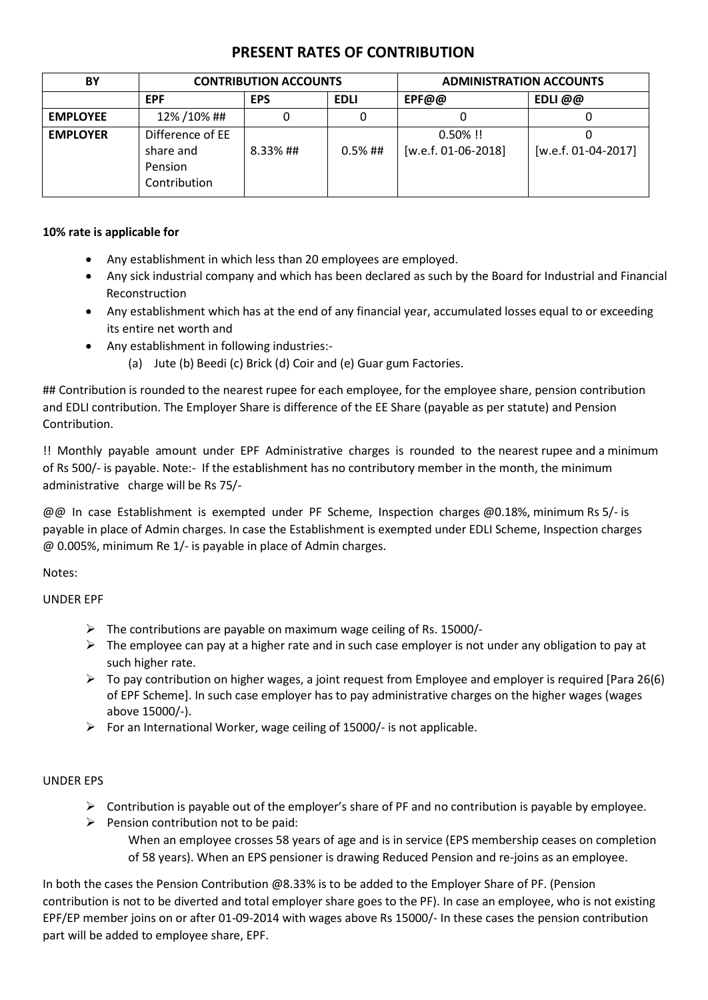## **PRESENT RATES OF CONTRIBUTION**

| BY              | <b>CONTRIBUTION ACCOUNTS</b>                             |            |             | <b>ADMINISTRATION ACCOUNTS</b>       |                       |
|-----------------|----------------------------------------------------------|------------|-------------|--------------------------------------|-----------------------|
|                 | <b>EPF</b>                                               | <b>EPS</b> | <b>EDLI</b> | EPF@@                                | EDLI @@               |
| <b>EMPLOYEE</b> | 12% / 10% ##                                             | 0          |             |                                      |                       |
| <b>EMPLOYER</b> | Difference of EE<br>share and<br>Pension<br>Contribution | 8.33%##    | $0.5\%$ ##  | $0.50\%$ !!<br>$[w.e.f. 01-06-2018]$ | $[w.e.f. 01-04-2017]$ |

## **10% rate is applicable for**

- Any establishment in which less than 20 employees are employed.
- Any sick industrial company and which has been declared as such by the Board for Industrial and Financial Reconstruction
- Any establishment which has at the end of any financial year, accumulated losses equal to or exceeding its entire net worth and
- Any establishment in following industries:-
	- (a) Jute (b) Beedi (c) Brick (d) Coir and (e) Guar gum Factories.

## Contribution is rounded to the nearest rupee for each employee, for the employee share, pension contribution and EDLI contribution. The Employer Share is difference of the EE Share (payable as per statute) and Pension Contribution.

!! Monthly payable amount under EPF Administrative charges is rounded to the nearest rupee and a minimum of Rs 500/- is payable. Note:- If the establishment has no contributory member in the month, the minimum administrative charge will be Rs 75/-

@@ In case Establishment is exempted under PF Scheme, Inspection charges @0.18%, minimum Rs 5/- is payable in place of Admin charges. In case the Establishment is exempted under EDLI Scheme, Inspection charges @ 0.005%, minimum Re 1/- is payable in place of Admin charges.

Notes:

UNDER EPF

- $\triangleright$  The contributions are payable on maximum wage ceiling of Rs. 15000/-
- $\triangleright$  The employee can pay at a higher rate and in such case employer is not under any obligation to pay at such higher rate.
- $\triangleright$  To pay contribution on higher wages, a joint request from Employee and employer is required [Para 26(6) of EPF Scheme]. In such case employer has to pay administrative charges on the higher wages (wages above 15000/-).
- $\triangleright$  For an International Worker, wage ceiling of 15000/- is not applicable.

## UNDER EPS

- $\triangleright$  Contribution is payable out of the employer's share of PF and no contribution is payable by employee.
- $\triangleright$  Pension contribution not to be paid: When an employee crosses 58 years of age and is in service (EPS membership ceases on completion of 58 years). When an EPS pensioner is drawing Reduced Pension and re-joins as an employee.

In both the cases the Pension Contribution @8.33% is to be added to the Employer Share of PF. (Pension contribution is not to be diverted and total employer share goes to the PF). In case an employee, who is not existing EPF/EP member joins on or after 01-09-2014 with wages above Rs 15000/- In these cases the pension contribution part will be added to employee share, EPF.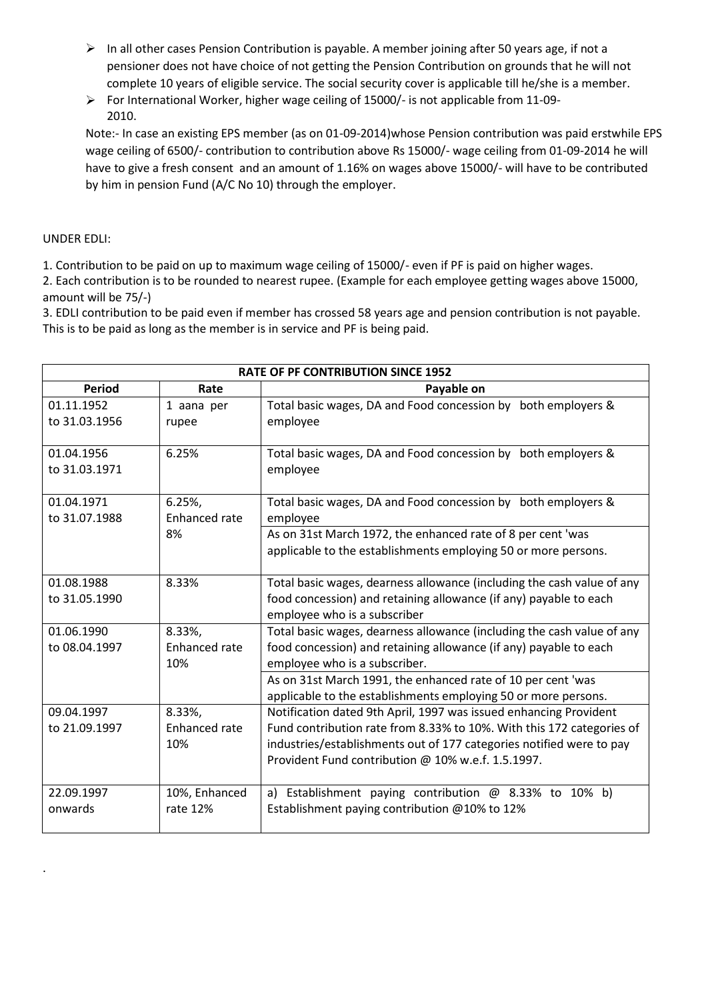- $\triangleright$  In all other cases Pension Contribution is payable. A member joining after 50 years age, if not a pensioner does not have choice of not getting the Pension Contribution on grounds that he will not complete 10 years of eligible service. The social security cover is applicable till he/she is a member.
- $\triangleright$  For International Worker, higher wage ceiling of 15000/- is not applicable from 11-09-2010.

Note:- In case an existing EPS member (as on 01-09-2014)whose Pension contribution was paid erstwhile EPS wage ceiling of 6500/- contribution to contribution above Rs 15000/- wage ceiling from 01-09-2014 he will have to give a fresh consent and an amount of 1.16% on wages above 15000/- will have to be contributed by him in pension Fund (A/C No 10) through the employer.

## UNDER EDLI:

.

1. Contribution to be paid on up to maximum wage ceiling of 15000/- even if PF is paid on higher wages.

2. Each contribution is to be rounded to nearest rupee. (Example for each employee getting wages above 15000, amount will be 75/-)

3. EDLI contribution to be paid even if member has crossed 58 years age and pension contribution is not payable. This is to be paid as long as the member is in service and PF is being paid.

| <b>RATE OF PF CONTRIBUTION SINCE 1952</b> |                      |                                                                                                    |  |  |  |
|-------------------------------------------|----------------------|----------------------------------------------------------------------------------------------------|--|--|--|
| <b>Period</b>                             | Rate                 | Payable on                                                                                         |  |  |  |
| 01.11.1952                                | 1 aana per           | Total basic wages, DA and Food concession by both employers &                                      |  |  |  |
| to 31.03.1956                             | rupee                | employee                                                                                           |  |  |  |
|                                           |                      |                                                                                                    |  |  |  |
| 01.04.1956                                | 6.25%                | Total basic wages, DA and Food concession by both employers &                                      |  |  |  |
| to 31.03.1971                             |                      | employee                                                                                           |  |  |  |
| 01.04.1971                                | 6.25%,               | Total basic wages, DA and Food concession by both employers &                                      |  |  |  |
| to 31.07.1988                             | Enhanced rate        | employee                                                                                           |  |  |  |
|                                           | 8%                   | As on 31st March 1972, the enhanced rate of 8 per cent 'was                                        |  |  |  |
|                                           |                      | applicable to the establishments employing 50 or more persons.                                     |  |  |  |
| 01.08.1988                                | 8.33%                | Total basic wages, dearness allowance (including the cash value of any                             |  |  |  |
| to 31.05.1990                             |                      | food concession) and retaining allowance (if any) payable to each                                  |  |  |  |
|                                           |                      | employee who is a subscriber                                                                       |  |  |  |
| 01.06.1990                                | 8.33%,               | Total basic wages, dearness allowance (including the cash value of any                             |  |  |  |
| to 08.04.1997                             | Enhanced rate<br>10% | food concession) and retaining allowance (if any) payable to each<br>employee who is a subscriber. |  |  |  |
|                                           |                      | As on 31st March 1991, the enhanced rate of 10 per cent 'was                                       |  |  |  |
|                                           |                      | applicable to the establishments employing 50 or more persons.                                     |  |  |  |
| 09.04.1997                                | 8.33%,               | Notification dated 9th April, 1997 was issued enhancing Provident                                  |  |  |  |
| to 21.09.1997                             | Enhanced rate        | Fund contribution rate from 8.33% to 10%. With this 172 categories of                              |  |  |  |
|                                           | 10%                  | industries/establishments out of 177 categories notified were to pay                               |  |  |  |
|                                           |                      | Provident Fund contribution @ 10% w.e.f. 1.5.1997.                                                 |  |  |  |
| 22.09.1997                                | 10%, Enhanced        | a) Establishment paying contribution $\omega$ 8.33% to 10% b)                                      |  |  |  |
| onwards                                   | rate 12%             | Establishment paying contribution @10% to 12%                                                      |  |  |  |
|                                           |                      |                                                                                                    |  |  |  |